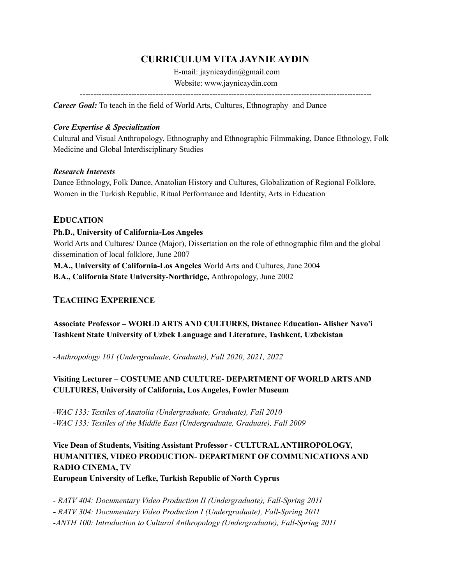# **CURRICULUM VITA JAYNIE AYDIN**

E-mail: jaynieaydin@gmail.com Website: www.jaynieaydin.com

------------------------------------------------------------------------------------------------------------

*Career Goal:* To teach in the field of World Arts, Cultures, Ethnography and Dance

### *Core Expertise & Specialization*

Cultural and Visual Anthropology, Ethnography and Ethnographic Filmmaking, Dance Ethnology, Folk Medicine and Global Interdisciplinary Studies

### *Research Interests*

Dance Ethnology, Folk Dance, Anatolian History and Cultures, Globalization of Regional Folklore, Women in the Turkish Republic, Ritual Performance and Identity, Arts in Education

### **EDUCATION**

### **Ph.D., University of California-Los Angeles**

World Arts and Cultures/ Dance (Major), Dissertation on the role of ethnographic film and the global dissemination of local folklore, June 2007

**M.A., University of California-Los Angeles** World Arts and Cultures, June 2004

**B.A., California State University-Northridge,** Anthropology, June 2002

# **TEACHING EXPERIENCE**

**Associate Professor – WORLD ARTS AND CULTURES, Distance Education- Alisher Navo'i Tashkent State University of Uzbek Language and Literature, Tashkent, Uzbekistan**

*-Anthropology 101 (Undergraduate, Graduate), Fall 2020, 2021, 2022*

# **Visiting Lecturer – COSTUME AND CULTURE- DEPARTMENT OF WORLD ARTS AND CULTURES, University of California, Los Angeles, Fowler Museum**

*-WAC 133: Textiles of Anatolia (Undergraduate, Graduate), Fall 2010 -WAC 133: Textiles of the Middle East (Undergraduate, Graduate), Fall 2009*

# **Vice Dean of Students, Visiting Assistant Professor - CULTURALANTHROPOLOGY, HUMANITIES, VIDEO PRODUCTION- DEPARTMENT OF COMMUNICATIONS AND RADIO CINEMA, TV European University of Lefke, Turkish Republic of North Cyprus**

*- RATV 404: Documentary Video Production II (Undergraduate), Fall-Spring 2011 - RATV 304: Documentary Video Production I (Undergraduate), Fall-Spring 2011 -ANTH 100: Introduction to Cultural Anthropology (Undergraduate), Fall-Spring 2011*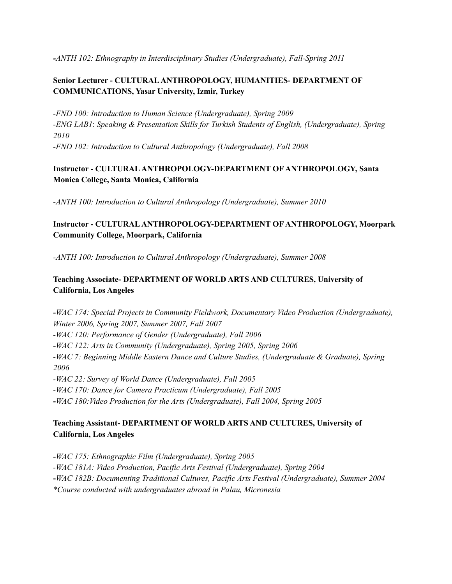*-ANTH 102: Ethnography in Interdisciplinary Studies (Undergraduate), Fall-Spring 2011*

# **Senior Lecturer - CULTURALANTHROPOLOGY, HUMANITIES- DEPARTMENT OF COMMUNICATIONS, Yasar University, Izmir, Turkey**

*-FND 100: Introduction to Human Science (Undergraduate), Spring 2009 -ENG LAB1*: *Speaking & Presentation Skills for Turkish Students of English, (Undergraduate), Spring 2010 -FND 102: Introduction to Cultural Anthropology (Undergraduate), Fall 2008*

### **Instructor - CULTURALANTHROPOLOGY-DEPARTMENT OF ANTHROPOLOGY, Santa Monica College, Santa Monica, California**

*-ANTH 100: Introduction to Cultural Anthropology (Undergraduate), Summer 2010*

## **Instructor - CULTURALANTHROPOLOGY-DEPARTMENT OF ANTHROPOLOGY, Moorpark Community College, Moorpark, California**

*-ANTH 100: Introduction to Cultural Anthropology (Undergraduate), Summer 2008*

# **Teaching Associate- DEPARTMENT OF WORLD ARTS AND CULTURES, University of California, Los Angeles**

**-***WAC 174: Special Projects in Community Fieldwork, Documentary Video Production (Undergraduate), Winter 2006, Spring 2007, Summer 2007, Fall 2007 -WAC 120: Performance of Gender (Undergraduate), Fall 2006* **-***WAC 122: Arts in Community (Undergraduate), Spring 2005, Spring 2006 -WAC 7: Beginning Middle Eastern Dance and Culture Studies, (Undergraduate & Graduate), Spring 2006 -WAC 22: Survey of World Dance (Undergraduate), Fall 2005 -WAC 170: Dance for Camera Practicum (Undergraduate), Fall 2005* **-***WAC 180:Video Production for the Arts (Undergraduate), Fall 2004, Spring 2005*

## **Teaching Assistant- DEPARTMENT OF WORLD ARTS AND CULTURES, University of California, Los Angeles**

**-***WAC 175: Ethnographic Film (Undergraduate), Spring 2005 -WAC 181A: Video Production, Pacific Arts Festival (Undergraduate), Spring 2004* **-***WAC 182B: Documenting Traditional Cultures, Pacific Arts Festival (Undergraduate), Summer 2004 \*Course conducted with undergraduates abroad in Palau, Micronesia*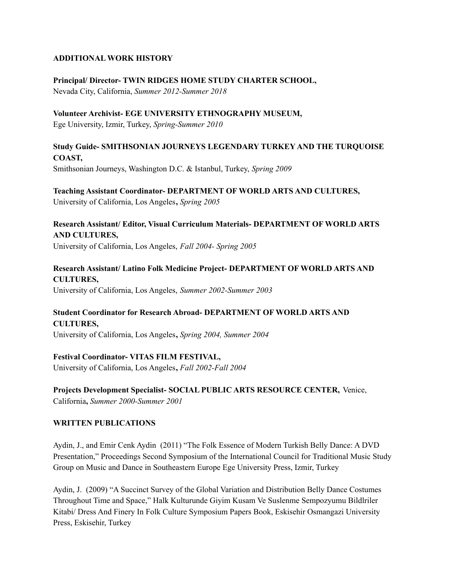### **ADDITIONAL WORK HISTORY**

**Principal/ Director- TWIN RIDGES HOME STUDY CHARTER SCHOOL,**

Nevada City, California, *Summer 2012-Summer 2018*

**Volunteer Archivist- EGE UNIVERSITY ETHNOGRAPHY MUSEUM,** Ege University, Izmir, Turkey, *Spring-Summer 2010*

# **Study Guide- SMITHSONIAN JOURNEYS LEGENDARY TURKEY AND THE TURQUOISE COAST,**

Smithsonian Journeys, Washington D.C. & Istanbul, Turkey, *Spring 2009*

### **Teaching Assistant Coordinator- DEPARTMENT OF WORLD ARTS AND CULTURES,** University of California, Los Angeles**,** *Spring 2005*

**Research Assistant/ Editor, Visual Curriculum Materials- DEPARTMENT OF WORLD ARTS AND CULTURES,**

University of California, Los Angeles, *Fall 2004- Spring 2005*

### **Research Assistant/ Latino Folk Medicine Project- DEPARTMENT OF WORLD ARTS AND CULTURES,** University of California, Los Angeles, *Summer 2002-Summer 2003*

## **Student Coordinator for Research Abroad- DEPARTMENT OF WORLD ARTS AND CULTURES,**

University of California, Los Angeles**,** *Spring 2004, Summer 2004*

## **Festival Coordinator- VITAS FILM FESTIVAL,**

University of California, Los Angeles**,** *Fall 2002-Fall 2004*

## **Projects Development Specialist- SOCIAL PUBLIC ARTS RESOURCE CENTER,** Venice,

California**,** *Summer 2000-Summer 2001*

### **WRITTEN PUBLICATIONS**

Aydin, J., and Emir Cenk Aydin (2011) "The Folk Essence of Modern Turkish Belly Dance: A DVD Presentation," Proceedings Second Symposium of the International Council for Traditional Music Study Group on Music and Dance in Southeastern Europe Ege University Press, Izmir, Turkey

Aydin, J. (2009) "A Succinct Survey of the Global Variation and Distribution Belly Dance Costumes Throughout Time and Space," Halk Kulturunde Giyim Kusam Ve Suslenme Sempozyumu Bildlriler Kitabi/ Dress And Finery In Folk Culture Symposium Papers Book, Eskisehir Osmangazi University Press, Eskisehir, Turkey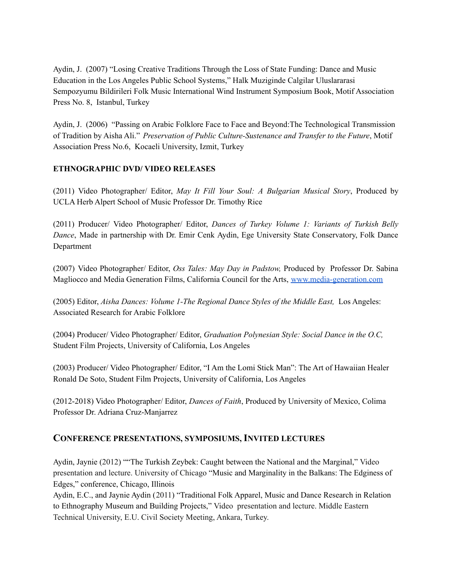Aydin, J. (2007) "Losing Creative Traditions Through the Loss of State Funding: Dance and Music Education in the Los Angeles Public School Systems," Halk Muziginde Calgilar Uluslararasi Sempozyumu Bildirileri Folk Music International Wind Instrument Symposium Book, Motif Association Press No. 8, Istanbul, Turkey

Aydin, J. (2006) "Passing on Arabic Folklore Face to Face and Beyond:The Technological Transmission of Tradition by Aisha Ali." *Preservation of Public Culture-Sustenance and Transfer to the Future*, Motif Association Press No.6, Kocaeli University, Izmit, Turkey

### **ETHNOGRAPHIC DVD/ VIDEO RELEASES**

(2011) Video Photographer/ Editor, *May It Fill Your Soul: A Bulgarian Musical Story*, Produced by UCLA Herb Alpert School of Music Professor Dr. Timothy Rice

(2011) Producer/ Video Photographer/ Editor, *Dances of Turkey Volume 1: Variants of Turkish Belly Dance*, Made in partnership with Dr. Emir Cenk Aydin, Ege University State Conservatory, Folk Dance Department

(2007) Video Photographer/ Editor, *Oss Tales: May Day in Padstow,* Produced by Professor Dr. Sabina Magliocco and Media Generation Films, California Council for the Arts, [www.media-generation.com](http://www.media-generation.com)

(2005) Editor, *Aisha Dances: Volume 1-The Regional Dance Styles of the Middle East,* Los Angeles: Associated Research for Arabic Folklore

(2004) Producer/ Video Photographer/ Editor, *Graduation Polynesian Style: Social Dance in the O.C,* Student Film Projects, University of California, Los Angeles

(2003) Producer/ Video Photographer/ Editor, "I Am the Lomi Stick Man": The Art of Hawaiian Healer Ronald De Soto, Student Film Projects, University of California, Los Angeles

(2012-2018) Video Photographer/ Editor, *Dances of Faith*, Produced by University of Mexico, Colima Professor Dr. Adriana Cruz-Manjarrez

## **CONFERENCE PRESENTATIONS, SYMPOSIUMS, INVITED LECTURES**

Aydin, Jaynie (2012) ""The Turkish Zeybek: Caught between the National and the Marginal," Video presentation and lecture. University of Chicago "Music and Marginality in the Balkans: The Edginess of Edges," conference, Chicago, Illinois

Aydin, E.C., and Jaynie Aydin (2011) "Traditional Folk Apparel, Music and Dance Research in Relation to Ethnography Museum and Building Projects," Video presentation and lecture. Middle Eastern Technical University, E.U. Civil Society Meeting, Ankara, Turkey.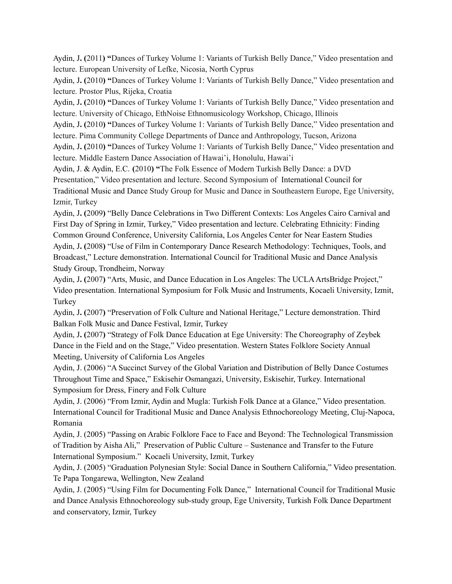Aydin, J**. (**2011**) "**Dances of Turkey Volume 1: Variants of Turkish Belly Dance," Video presentation and lecture. European University of Lefke, Nicosia, North Cyprus

Aydin, J**. (**2010**) "**Dances of Turkey Volume 1: Variants of Turkish Belly Dance," Video presentation and lecture. Prostor Plus, Rijeka, Croatia

Aydin, J**. (**2010**) "**Dances of Turkey Volume 1: Variants of Turkish Belly Dance," Video presentation and lecture. University of Chicago, EthNoise Ethnomusicology Workshop, Chicago, Illinois

Aydin, J**. (**2010**) "**Dances of Turkey Volume 1: Variants of Turkish Belly Dance," Video presentation and lecture. Pima Community College Departments of Dance and Anthropology, Tucson, Arizona

Aydin, J**. (**2010**) "**Dances of Turkey Volume 1: Variants of Turkish Belly Dance," Video presentation and lecture. Middle Eastern Dance Association of Hawai'i, Honolulu, Hawai'i

Aydin, J. & Aydin, E.C. **(**2010**) "**The Folk Essence of Modern Turkish Belly Dance: a DVD

Presentation," Video presentation and lecture. Second Symposium of International Council for

Traditional Music and Dance Study Group for Music and Dance in Southeastern Europe, Ege University, Izmir, Turkey

Aydin, J**. (**2009**)** "Belly Dance Celebrations in Two Different Contexts: Los Angeles Cairo Carnival and First Day of Spring in Izmir, Turkey," Video presentation and lecture. Celebrating Ethnicity: Finding Common Ground Conference, University California, Los Angeles Center for Near Eastern Studies Aydin, J**. (**2008**)** "Use of Film in Contemporary Dance Research Methodology: Techniques, Tools, and Broadcast," Lecture demonstration. International Council for Traditional Music and Dance Analysis Study Group, Trondheim, Norway

Aydin, J**. (**2007**)** "Arts, Music, and Dance Education in Los Angeles: The UCLAArtsBridge Project," Video presentation. International Symposium for Folk Music and Instruments, Kocaeli University, Izmit, Turkey

Aydin, J**. (**2007**)** "Preservation of Folk Culture and National Heritage," Lecture demonstration. Third Balkan Folk Music and Dance Festival, Izmir, Turkey

Aydin, J**. (**2007**)** "Strategy of Folk Dance Education at Ege University: The Choreography of Zeybek Dance in the Field and on the Stage," Video presentation. Western States Folklore Society Annual Meeting, University of California Los Angeles

Aydin, J. (2006) "A Succinct Survey of the Global Variation and Distribution of Belly Dance Costumes Throughout Time and Space," Eskisehir Osmangazi, University, Eskisehir, Turkey. International Symposium for Dress, Finery and Folk Culture

Aydin, J. (2006) "From Izmir, Aydin and Mugla: Turkish Folk Dance at a Glance," Video presentation. International Council for Traditional Music and Dance Analysis Ethnochoreology Meeting, Cluj-Napoca, Romania

Aydin, J. (2005) "Passing on Arabic Folklore Face to Face and Beyond: The Technological Transmission of Tradition by Aisha Ali," Preservation of Public Culture – Sustenance and Transfer to the Future International Symposium." Kocaeli University, Izmit, Turkey

Aydin, J. (2005) "Graduation Polynesian Style: Social Dance in Southern California," Video presentation. Te Papa Tongarewa, Wellington, New Zealand

Aydin, J. (2005) "Using Film for Documenting Folk Dance," International Council for Traditional Music and Dance Analysis Ethnochoreology sub-study group, Ege University, Turkish Folk Dance Department and conservatory, Izmir, Turkey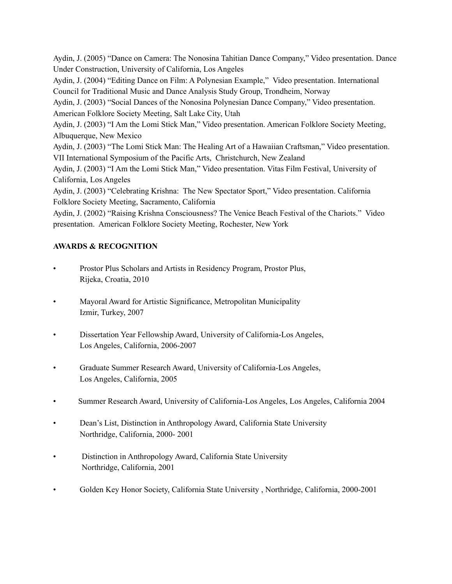Aydin, J. (2005) "Dance on Camera: The Nonosina Tahitian Dance Company," Video presentation. Dance Under Construction, University of California, Los Angeles

Aydin, J. (2004) "Editing Dance on Film: A Polynesian Example," Video presentation. International Council for Traditional Music and Dance Analysis Study Group, Trondheim, Norway

Aydin, J. (2003) "Social Dances of the Nonosina Polynesian Dance Company," Video presentation. American Folklore Society Meeting, Salt Lake City, Utah

Aydin, J. (2003) "I Am the Lomi Stick Man," Video presentation. American Folklore Society Meeting, Albuquerque, New Mexico

Aydin, J. (2003) "The Lomi Stick Man: The Healing Art of a Hawaiian Craftsman," Video presentation. VII International Symposium of the Pacific Arts, Christchurch, New Zealand

Aydin, J. (2003) "I Am the Lomi Stick Man," Video presentation. Vitas Film Festival, University of California, Los Angeles

Aydin, J. (2003) "Celebrating Krishna: The New Spectator Sport," Video presentation. California Folklore Society Meeting, Sacramento, California

Aydin, J. (2002) "Raising Krishna Consciousness? The Venice Beach Festival of the Chariots." Video presentation. American Folklore Society Meeting, Rochester, New York

## **AWARDS & RECOGNITION**

- Prostor Plus Scholars and Artists in Residency Program, Prostor Plus, Rijeka, Croatia, 2010
- Mayoral Award for Artistic Significance, Metropolitan Municipality Izmir, Turkey, 2007
- Dissertation Year Fellowship Award, University of California-Los Angeles, Los Angeles, California, 2006-2007
- Graduate Summer Research Award, University of California-Los Angeles, Los Angeles, California, 2005
- Summer Research Award, University of California-Los Angeles, Los Angeles, California 2004
- Dean's List, Distinction in Anthropology Award, California State University Northridge, California, 2000- 2001
- Distinction in Anthropology Award, California State University Northridge, California, 2001
- Golden Key Honor Society, California State University , Northridge, California, 2000-2001